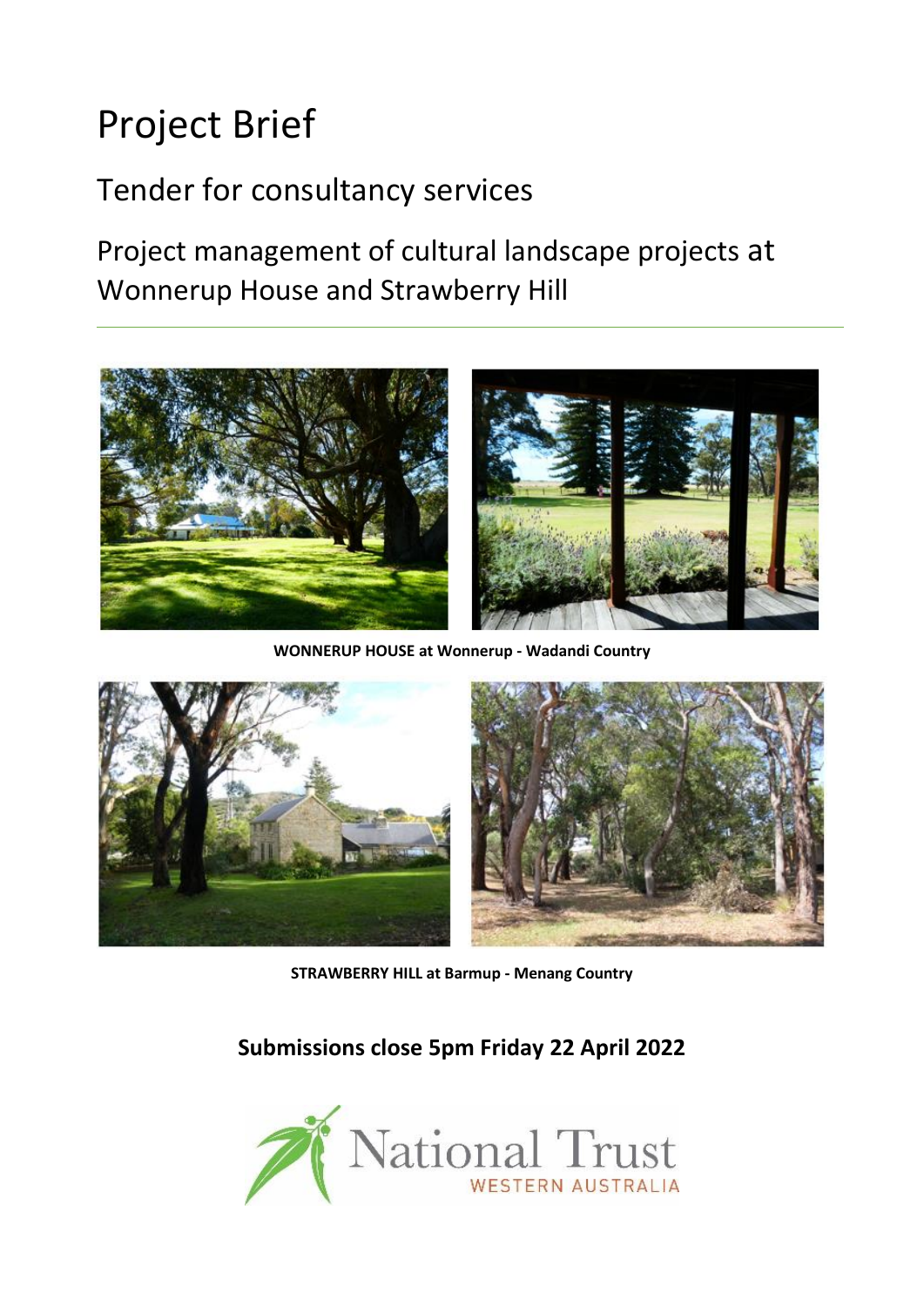# Project Brief

# Tender for consultancy services

Project management of cultural landscape projects at Wonnerup House and Strawberry Hill



**WONNERUP HOUSE at Wonnerup - Wadandi Country**



**STRAWBERRY HILL at Barmup - Menang Country**

**Submissions close 5pm Friday 22 April 2022**

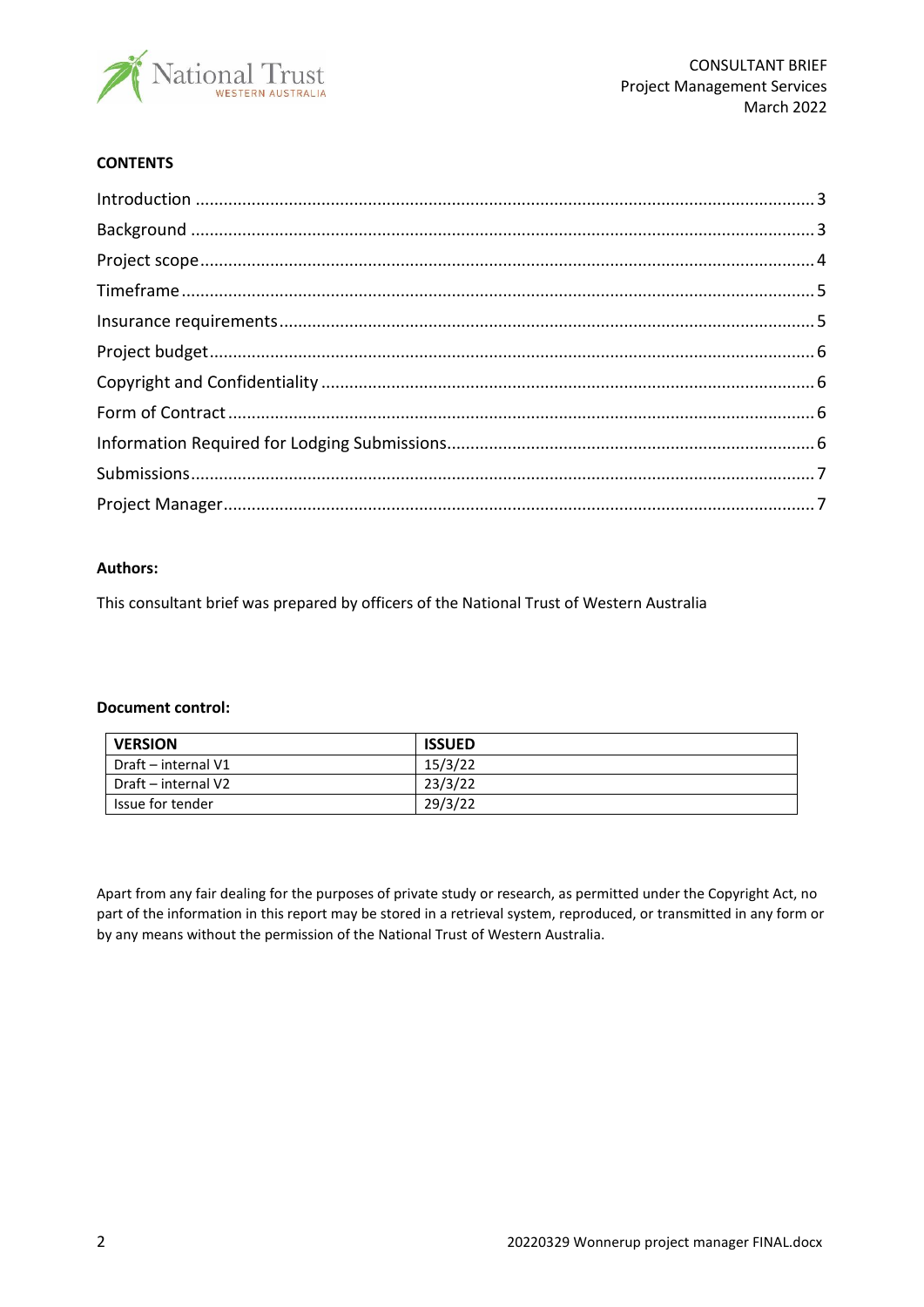

#### **CONTENTS**

#### **Authors:**

This consultant brief was prepared by officers of the National Trust of Western Australia

#### **Document control:**

| <b>VERSION</b>      | <b>ISSUED</b> |  |
|---------------------|---------------|--|
| Draft – internal V1 | 15/3/22       |  |
| Draft – internal V2 | 23/3/22       |  |
| Issue for tender    | 29/3/22       |  |

Apart from any fair dealing for the purposes of private study or research, as permitted under the Copyright Act, no part of the information in this report may be stored in a retrieval system, reproduced, or transmitted in any form or by any means without the permission of the National Trust of Western Australia.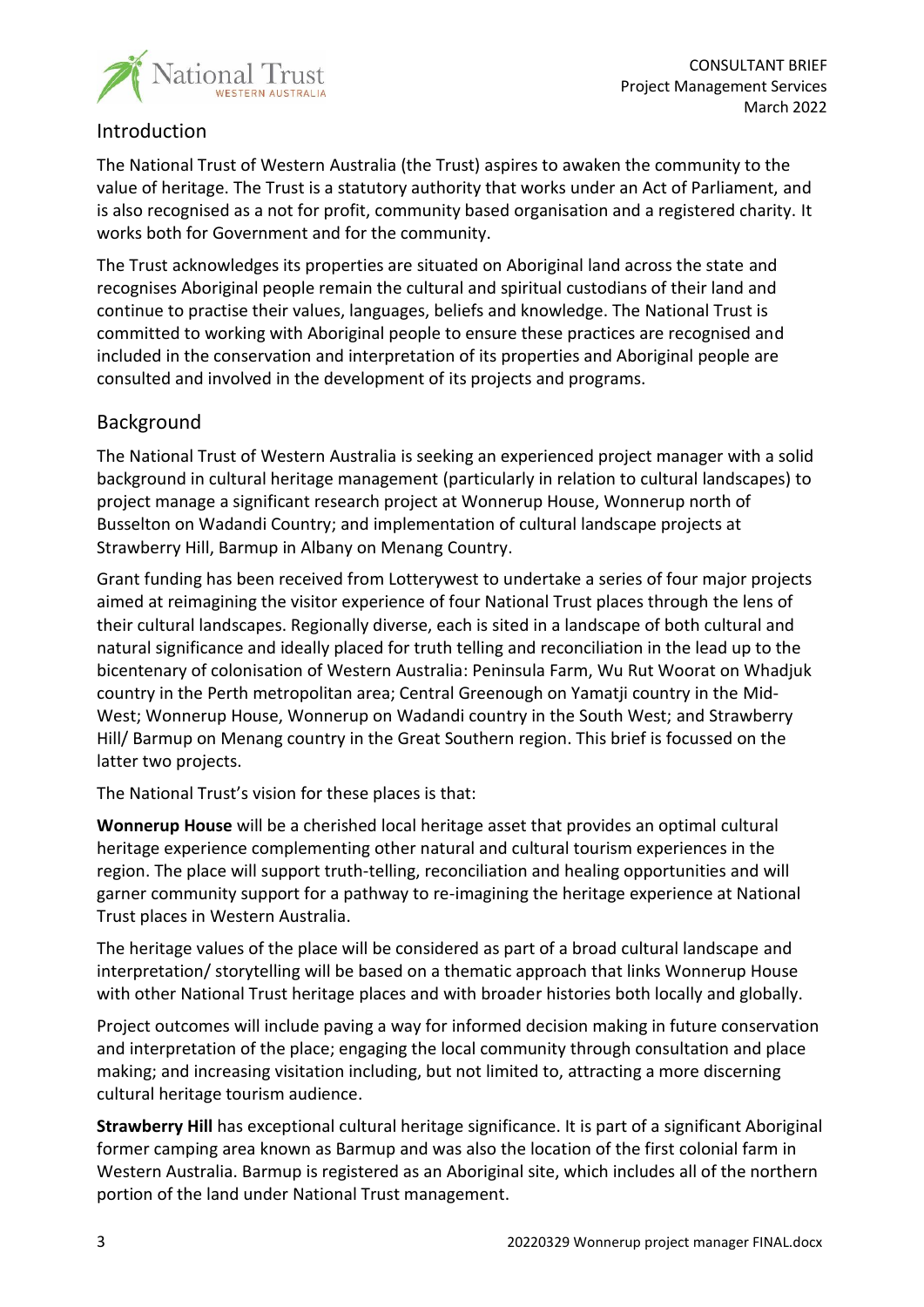

# <span id="page-2-0"></span>Introduction

The National Trust of Western Australia (the Trust) aspires to awaken the community to the value of heritage. The Trust is a statutory authority that works under an Act of Parliament, and is also recognised as a not for profit, community based organisation and a registered charity. It works both for Government and for the community.

The Trust acknowledges its properties are situated on Aboriginal land across the state and recognises Aboriginal people remain the cultural and spiritual custodians of their land and continue to practise their values, languages, beliefs and knowledge. The National Trust is committed to working with Aboriginal people to ensure these practices are recognised and included in the conservation and interpretation of its properties and Aboriginal people are consulted and involved in the development of its projects and programs.

# <span id="page-2-1"></span>Background

The National Trust of Western Australia is seeking an experienced project manager with a solid background in cultural heritage management (particularly in relation to cultural landscapes) to project manage a significant research project at Wonnerup House, Wonnerup north of Busselton on Wadandi Country; and implementation of cultural landscape projects at Strawberry Hill, Barmup in Albany on Menang Country.

Grant funding has been received from Lotterywest to undertake a series of four major projects aimed at reimagining the visitor experience of four National Trust places through the lens of their cultural landscapes. Regionally diverse, each is sited in a landscape of both cultural and natural significance and ideally placed for truth telling and reconciliation in the lead up to the bicentenary of colonisation of Western Australia: Peninsula Farm, Wu Rut Woorat on Whadjuk country in the Perth metropolitan area; Central Greenough on Yamatji country in the Mid-West; Wonnerup House, Wonnerup on Wadandi country in the South West; and Strawberry Hill/ Barmup on Menang country in the Great Southern region. This brief is focussed on the latter two projects.

The National Trust's vision for these places is that:

**Wonnerup House** will be a cherished local heritage asset that provides an optimal cultural heritage experience complementing other natural and cultural tourism experiences in the region. The place will support truth-telling, reconciliation and healing opportunities and will garner community support for a pathway to re-imagining the heritage experience at National Trust places in Western Australia.

The heritage values of the place will be considered as part of a broad cultural landscape and interpretation/ storytelling will be based on a thematic approach that links Wonnerup House with other National Trust heritage places and with broader histories both locally and globally.

Project outcomes will include paving a way for informed decision making in future conservation and interpretation of the place; engaging the local community through consultation and place making; and increasing visitation including, but not limited to, attracting a more discerning cultural heritage tourism audience.

**Strawberry Hill** has exceptional cultural heritage significance. It is part of a significant Aboriginal former camping area known as Barmup and was also the location of the first colonial farm in Western Australia. Barmup is registered as an Aboriginal site, which includes all of the northern portion of the land under National Trust management.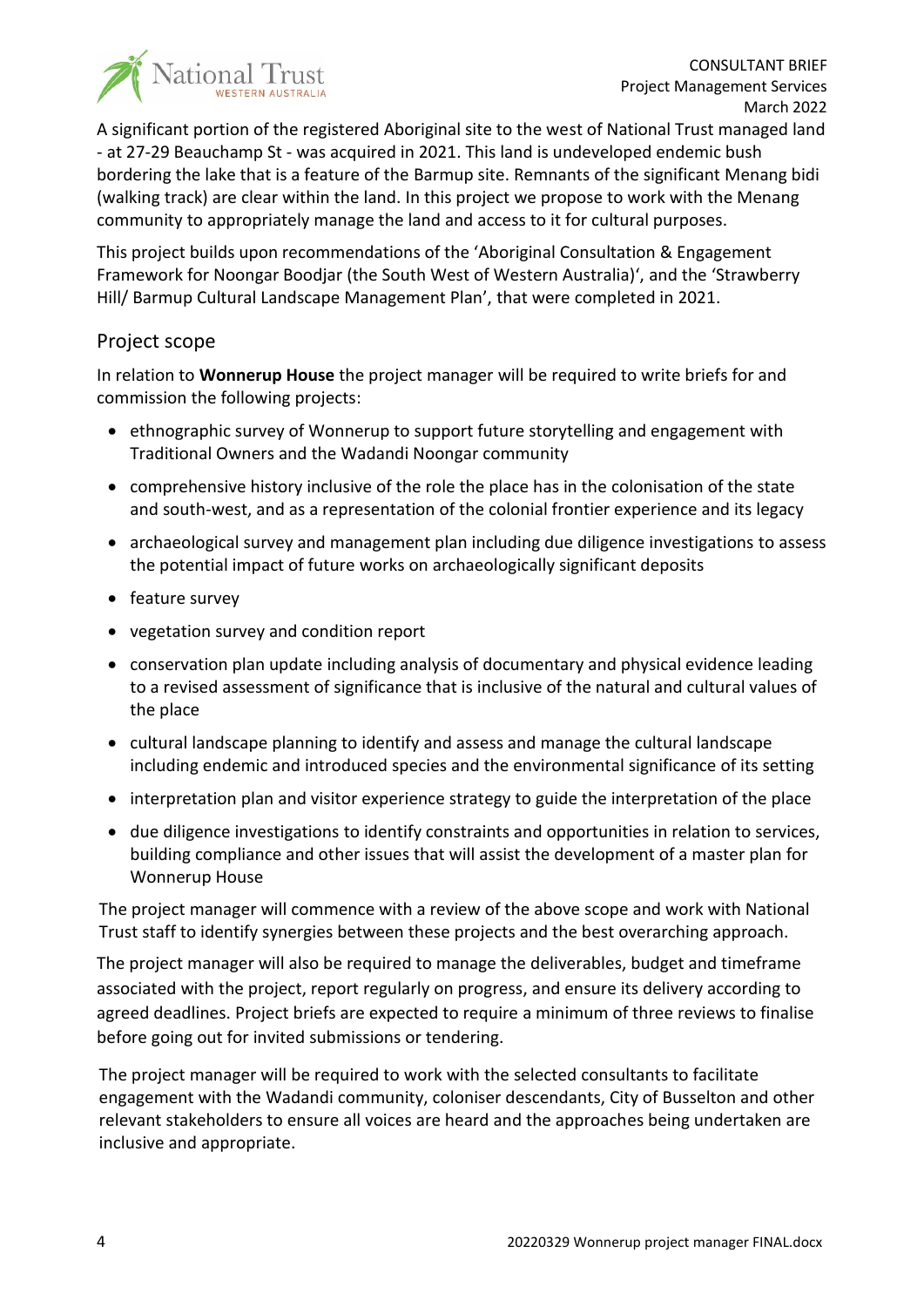

A significant portion of the registered Aboriginal site to the west of National Trust managed land - at 27-29 Beauchamp St - was acquired in 2021. This land is undeveloped endemic bush bordering the lake that is a feature of the Barmup site. Remnants of the significant Menang bidi (walking track) are clear within the land. In this project we propose to work with the Menang community to appropriately manage the land and access to it for cultural purposes.

This project builds upon recommendations of the 'Aboriginal Consultation & Engagement Framework for Noongar Boodjar (the South West of Western Australia)', and the 'Strawberry Hill/ Barmup Cultural Landscape Management Plan', that were completed in 2021.

# <span id="page-3-0"></span>Project scope

In relation to **Wonnerup House** the project manager will be required to write briefs for and commission the following projects:

- ethnographic survey of Wonnerup to support future storytelling and engagement with Traditional Owners and the Wadandi Noongar community
- comprehensive history inclusive of the role the place has in the colonisation of the state and south-west, and as a representation of the colonial frontier experience and its legacy
- archaeological survey and management plan including due diligence investigations to assess the potential impact of future works on archaeologically significant deposits
- feature survey
- vegetation survey and condition report
- conservation plan update including analysis of documentary and physical evidence leading to a revised assessment of significance that is inclusive of the natural and cultural values of the place
- cultural landscape planning to identify and assess and manage the cultural landscape including endemic and introduced species and the environmental significance of its setting
- interpretation plan and visitor experience strategy to guide the interpretation of the place
- due diligence investigations to identify constraints and opportunities in relation to services, building compliance and other issues that will assist the development of a master plan for Wonnerup House

The project manager will commence with a review of the above scope and work with National Trust staff to identify synergies between these projects and the best overarching approach.

The project manager will also be required to manage the deliverables, budget and timeframe associated with the project, report regularly on progress, and ensure its delivery according to agreed deadlines. Project briefs are expected to require a minimum of three reviews to finalise before going out for invited submissions or tendering.

The project manager will be required to work with the selected consultants to facilitate engagement with the Wadandi community, coloniser descendants, City of Busselton and other relevant stakeholders to ensure all voices are heard and the approaches being undertaken are inclusive and appropriate.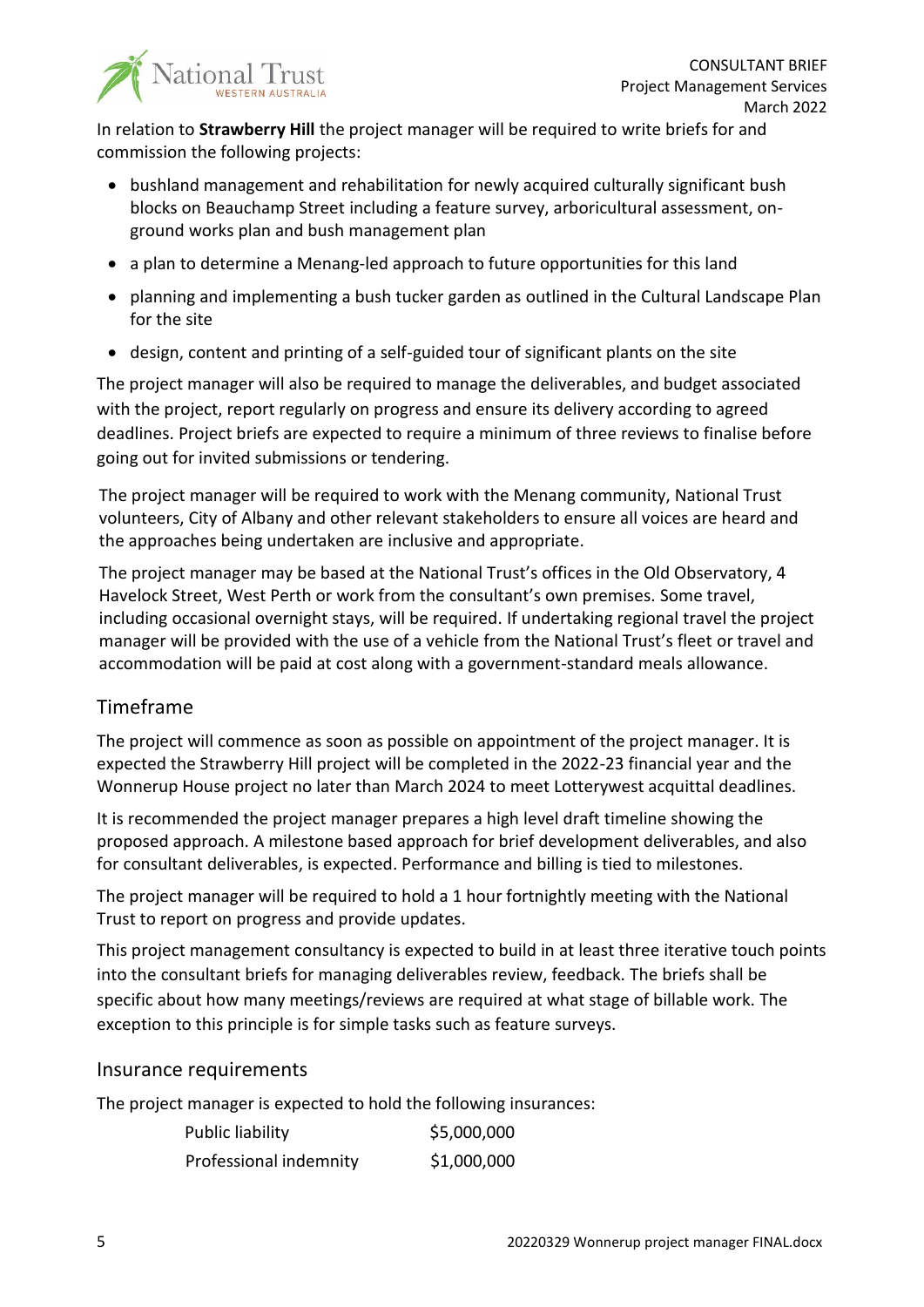

In relation to **Strawberry Hill** the project manager will be required to write briefs for and commission the following projects:

- bushland management and rehabilitation for newly acquired culturally significant bush blocks on Beauchamp Street including a feature survey, arboricultural assessment, onground works plan and bush management plan
- a plan to determine a Menang-led approach to future opportunities for this land
- planning and implementing a bush tucker garden as outlined in the Cultural Landscape Plan for the site
- design, content and printing of a self-guided tour of significant plants on the site

The project manager will also be required to manage the deliverables, and budget associated with the project, report regularly on progress and ensure its delivery according to agreed deadlines. Project briefs are expected to require a minimum of three reviews to finalise before going out for invited submissions or tendering.

The project manager will be required to work with the Menang community, National Trust volunteers, City of Albany and other relevant stakeholders to ensure all voices are heard and the approaches being undertaken are inclusive and appropriate.

The project manager may be based at the National Trust's offices in the Old Observatory, 4 Havelock Street, West Perth or work from the consultant's own premises. Some travel, including occasional overnight stays, will be required. If undertaking regional travel the project manager will be provided with the use of a vehicle from the National Trust's fleet or travel and accommodation will be paid at cost along with a government-standard meals allowance.

# <span id="page-4-0"></span>Timeframe

The project will commence as soon as possible on appointment of the project manager. It is expected the Strawberry Hill project will be completed in the 2022-23 financial year and the Wonnerup House project no later than March 2024 to meet Lotterywest acquittal deadlines.

It is recommended the project manager prepares a high level draft timeline showing the proposed approach. A milestone based approach for brief development deliverables, and also for consultant deliverables, is expected. Performance and billing is tied to milestones.

The project manager will be required to hold a 1 hour fortnightly meeting with the National Trust to report on progress and provide updates.

This project management consultancy is expected to build in at least three iterative touch points into the consultant briefs for managing deliverables review, feedback. The briefs shall be specific about how many meetings/reviews are required at what stage of billable work. The exception to this principle is for simple tasks such as feature surveys.

# <span id="page-4-1"></span>Insurance requirements

The project manager is expected to hold the following insurances:

| Public liability       | \$5,000,000 |
|------------------------|-------------|
| Professional indemnity | \$1,000,000 |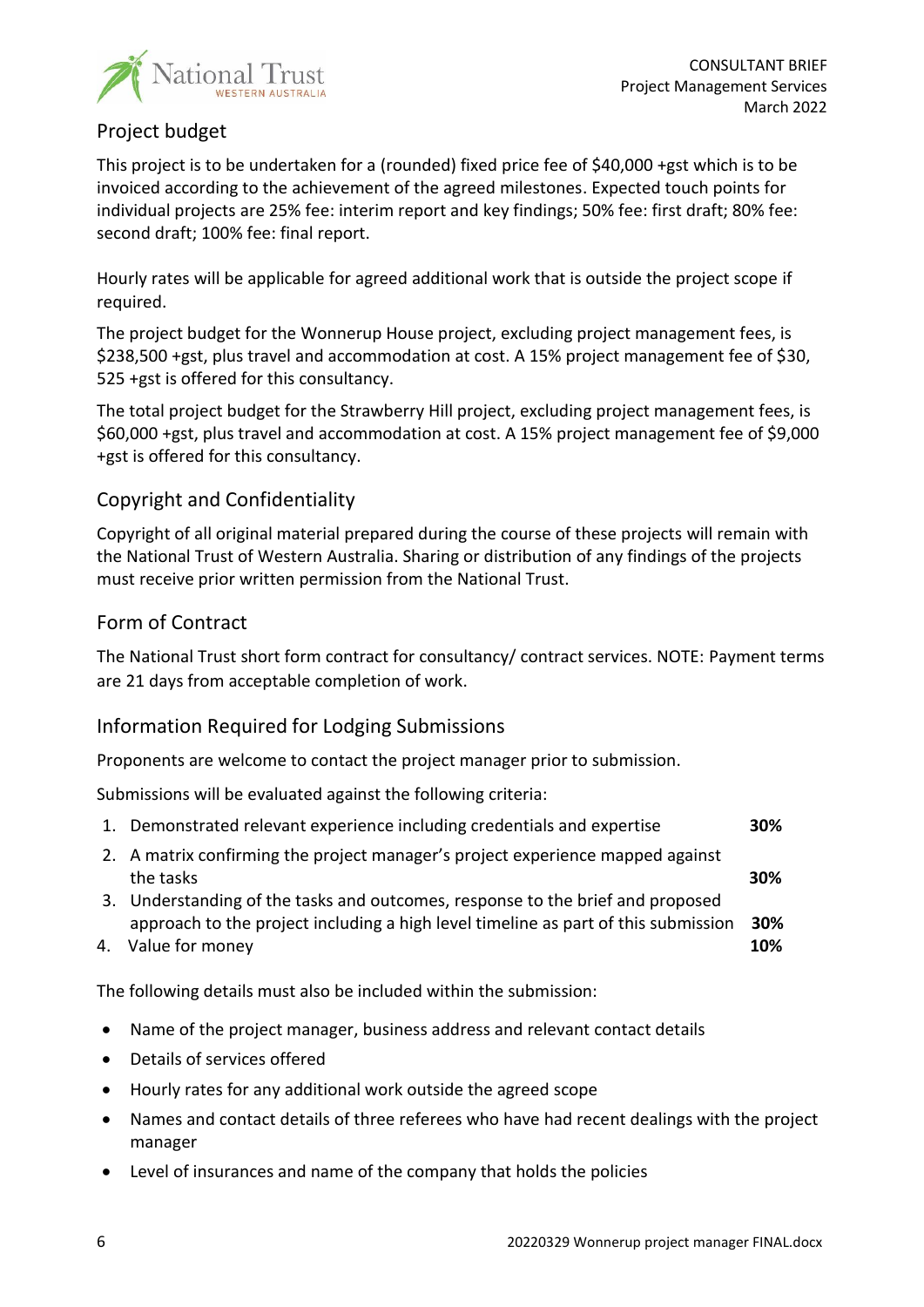

# <span id="page-5-0"></span>Project budget

This project is to be undertaken for a (rounded) fixed price fee of \$40,000 +gst which is to be invoiced according to the achievement of the agreed milestones. Expected touch points for individual projects are 25% fee: interim report and key findings; 50% fee: first draft; 80% fee: second draft; 100% fee: final report.

Hourly rates will be applicable for agreed additional work that is outside the project scope if required.

The project budget for the Wonnerup House project, excluding project management fees, is \$238,500 +gst, plus travel and accommodation at cost. A 15% project management fee of \$30, 525 +gst is offered for this consultancy.

The total project budget for the Strawberry Hill project, excluding project management fees, is \$60,000 +gst, plus travel and accommodation at cost. A 15% project management fee of \$9,000 +gst is offered for this consultancy.

# <span id="page-5-1"></span>Copyright and Confidentiality

Copyright of all original material prepared during the course of these projects will remain with the National Trust of Western Australia. Sharing or distribution of any findings of the projects must receive prior written permission from the National Trust.

#### <span id="page-5-2"></span>Form of Contract

The National Trust short form contract for consultancy/ contract services. NOTE: Payment terms are 21 days from acceptable completion of work.

#### <span id="page-5-3"></span>Information Required for Lodging Submissions

Proponents are welcome to contact the project manager prior to submission.

Submissions will be evaluated against the following criteria:

|  | 1. Demonstrated relevant experience including credentials and expertise | 30% |
|--|-------------------------------------------------------------------------|-----|
|--|-------------------------------------------------------------------------|-----|

- 2. A matrix confirming the project manager's project experience mapped against the tasks **30%**
- 3. Understanding of the tasks and outcomes, response to the brief and proposed approach to the project including a high level timeline as part of this submission **30%**
- 4. Value for money **10%**

The following details must also be included within the submission:

- Name of the project manager, business address and relevant contact details
- Details of services offered
- Hourly rates for any additional work outside the agreed scope
- Names and contact details of three referees who have had recent dealings with the project manager
- Level of insurances and name of the company that holds the policies